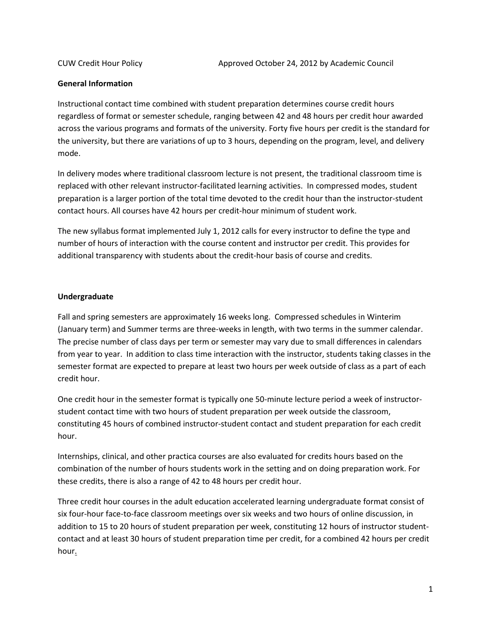## **General Information**

Instructional contact time combined with student preparation determines course credit hours regardless of format or semester schedule, ranging between 42 and 48 hours per credit hour awarded across the various programs and formats of the university. Forty five hours per credit is the standard for the university, but there are variations of up to 3 hours, depending on the program, level, and delivery mode.

In delivery modes where traditional classroom lecture is not present, the traditional classroom time is replaced with other relevant instructor-facilitated learning activities. In compressed modes, student preparation is a larger portion of the total time devoted to the credit hour than the instructor-student contact hours. All courses have 42 hours per credit-hour minimum of student work.

The new syllabus format implemented July 1, 2012 calls for every instructor to define the type and number of hours of interaction with the course content and instructor per credit. This provides for additional transparency with students about the credit-hour basis of course and credits.

## **Undergraduate**

Fall and spring semesters are approximately 16 weeks long. Compressed schedules in Winterim (January term) and Summer terms are three-weeks in length, with two terms in the summer calendar. The precise number of class days per term or semester may vary due to small differences in calendars from year to year. In addition to class time interaction with the instructor, students taking classes in the semester format are expected to prepare at least two hours per week outside of class as a part of each credit hour.

One credit hour in the semester format is typically one 50-minute lecture period a week of instructorstudent contact time with two hours of student preparation per week outside the classroom, constituting 45 hours of combined instructor-student contact and student preparation for each credit hour.

Internships, clinical, and other practica courses are also evaluated for credits hours based on the combination of the number of hours students work in the setting and on doing preparation work. For these credits, there is also a range of 42 to 48 hours per credit hour.

Three credit hour courses in the adult education accelerated learning undergraduate format consist of six four-hour face-to-face classroom meetings over six weeks and two hours of online discussion, in addition to 15 to 20 hours of student preparation per week, constituting 12 hours of instructor studentcontact and at least 30 hours of student preparation time per credit, for a combined 42 hours per credit hour.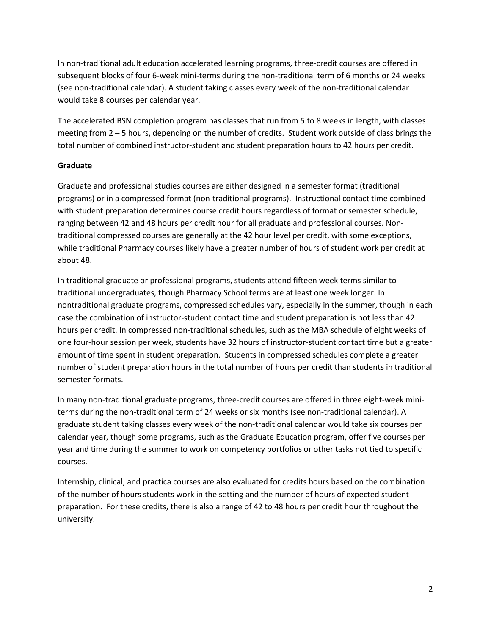In non-traditional adult education accelerated learning programs, three-credit courses are offered in subsequent blocks of four 6-week mini-terms during the non-traditional term of 6 months or 24 weeks (see non-traditional calendar). A student taking classes every week of the non-traditional calendar would take 8 courses per calendar year.

The accelerated BSN completion program has classes that run from 5 to 8 weeks in length, with classes meeting from 2 – 5 hours, depending on the number of credits. Student work outside of class brings the total number of combined instructor-student and student preparation hours to 42 hours per credit.

## **Graduate**

Graduate and professional studies courses are either designed in a semester format (traditional programs) or in a compressed format (non-traditional programs). Instructional contact time combined with student preparation determines course credit hours regardless of format or semester schedule, ranging between 42 and 48 hours per credit hour for all graduate and professional courses. Nontraditional compressed courses are generally at the 42 hour level per credit, with some exceptions, while traditional Pharmacy courses likely have a greater number of hours of student work per credit at about 48.

In traditional graduate or professional programs, students attend fifteen week terms similar to traditional undergraduates, though Pharmacy School terms are at least one week longer. In nontraditional graduate programs, compressed schedules vary, especially in the summer, though in each case the combination of instructor-student contact time and student preparation is not less than 42 hours per credit. In compressed non-traditional schedules, such as the MBA schedule of eight weeks of one four-hour session per week, students have 32 hours of instructor-student contact time but a greater amount of time spent in student preparation. Students in compressed schedules complete a greater number of student preparation hours in the total number of hours per credit than students in traditional semester formats.

In many non-traditional graduate programs, three-credit courses are offered in three eight-week miniterms during the non-traditional term of 24 weeks or six months (see non-traditional calendar). A graduate student taking classes every week of the non-traditional calendar would take six courses per calendar year, though some programs, such as the Graduate Education program, offer five courses per year and time during the summer to work on competency portfolios or other tasks not tied to specific courses.

Internship, clinical, and practica courses are also evaluated for credits hours based on the combination of the number of hours students work in the setting and the number of hours of expected student preparation. For these credits, there is also a range of 42 to 48 hours per credit hour throughout the university.